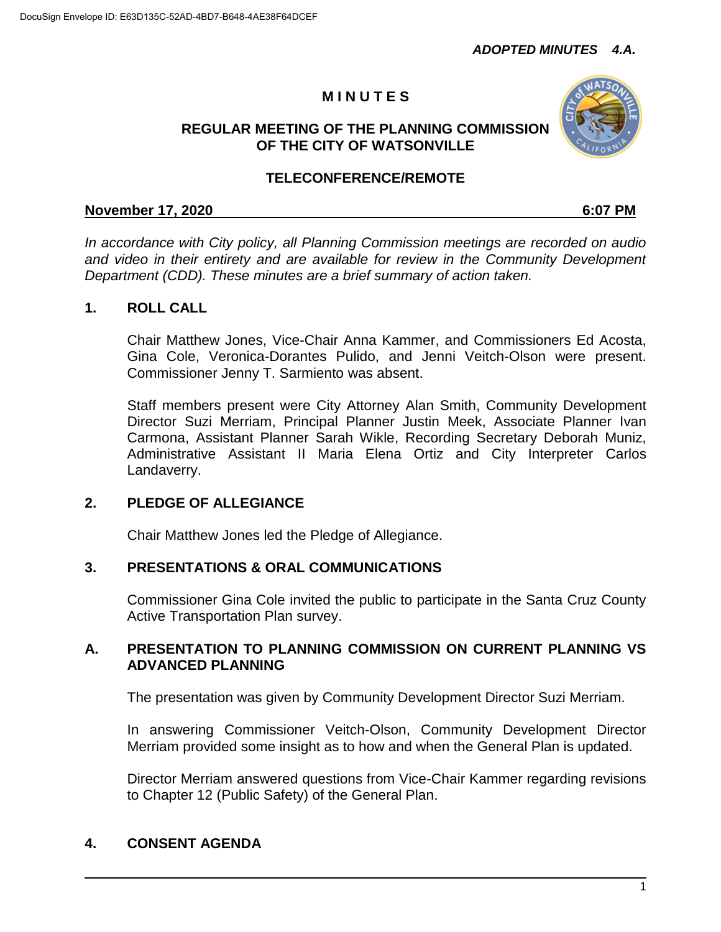# **M I N U T E S**

## **REGULAR MEETING OF THE PLANNING COMMISSION OF THE CITY OF WATSONVILLE**



## **TELECONFERENCE/REMOTE**

## **November 17, 2020 6:07 PM**

*In accordance with City policy, all Planning Commission meetings are recorded on audio and video in their entirety and are available for review in the Community Development Department (CDD). These minutes are a brief summary of action taken.*

## **1. ROLL CALL**

Chair Matthew Jones, Vice-Chair Anna Kammer, and Commissioners Ed Acosta, Gina Cole, Veronica-Dorantes Pulido, and Jenni Veitch-Olson were present. Commissioner Jenny T. Sarmiento was absent.

Staff members present were City Attorney Alan Smith, Community Development Director Suzi Merriam, Principal Planner Justin Meek, Associate Planner Ivan Carmona, Assistant Planner Sarah Wikle, Recording Secretary Deborah Muniz, Administrative Assistant II Maria Elena Ortiz and City Interpreter Carlos Landaverry.

## **2. PLEDGE OF ALLEGIANCE**

Chair Matthew Jones led the Pledge of Allegiance.

## **3. PRESENTATIONS & ORAL COMMUNICATIONS**

Commissioner Gina Cole invited the public to participate in the Santa Cruz County Active Transportation Plan survey.

## **A. PRESENTATION TO PLANNING COMMISSION ON CURRENT PLANNING VS ADVANCED PLANNING**

The presentation was given by Community Development Director Suzi Merriam.

In answering Commissioner Veitch-Olson, Community Development Director Merriam provided some insight as to how and when the General Plan is updated.

Director Merriam answered questions from Vice-Chair Kammer regarding revisions to Chapter 12 (Public Safety) of the General Plan.

## **4. CONSENT AGENDA**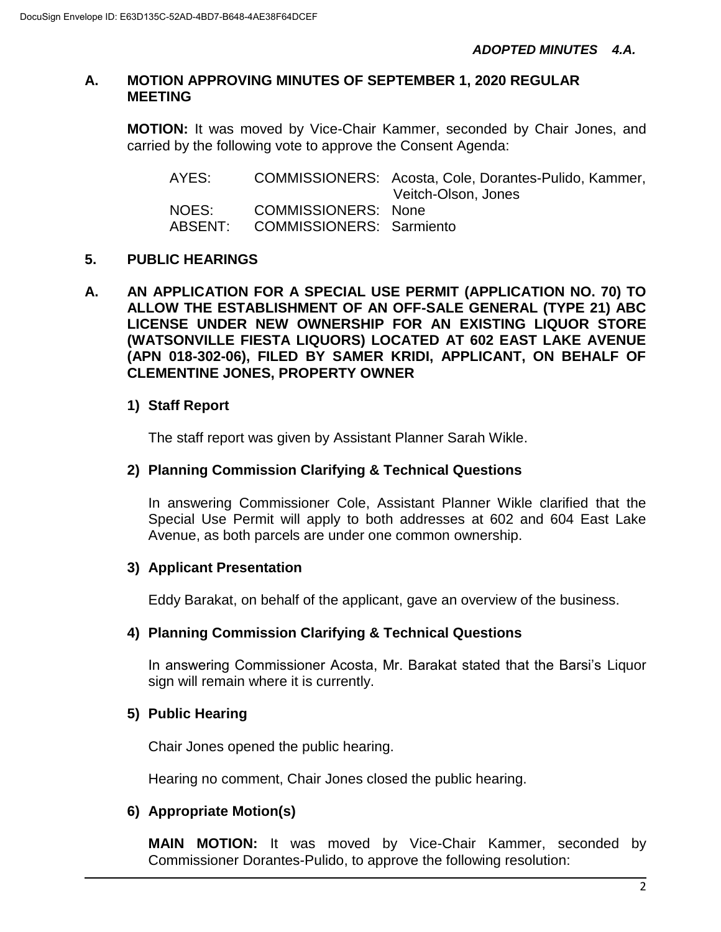#### **A. MOTION APPROVING MINUTES OF SEPTEMBER 1, 2020 REGULAR MEETING**

**MOTION:** It was moved by Vice-Chair Kammer, seconded by Chair Jones, and carried by the following vote to approve the Consent Agenda:

| AYES:   |                                 | COMMISSIONERS: Acosta, Cole, Dorantes-Pulido, Kammer,<br>Veitch-Olson, Jones |
|---------|---------------------------------|------------------------------------------------------------------------------|
| NOES:   | COMMISSIONERS: None             |                                                                              |
| ABSENT: | <b>COMMISSIONERS: Sarmiento</b> |                                                                              |

#### **5. PUBLIC HEARINGS**

**A. AN APPLICATION FOR A SPECIAL USE PERMIT (APPLICATION NO. 70) TO ALLOW THE ESTABLISHMENT OF AN OFF-SALE GENERAL (TYPE 21) ABC LICENSE UNDER NEW OWNERSHIP FOR AN EXISTING LIQUOR STORE (WATSONVILLE FIESTA LIQUORS) LOCATED AT 602 EAST LAKE AVENUE (APN 018-302-06), FILED BY SAMER KRIDI, APPLICANT, ON BEHALF OF CLEMENTINE JONES, PROPERTY OWNER**

## **1) Staff Report**

The staff report was given by Assistant Planner Sarah Wikle.

#### **2) Planning Commission Clarifying & Technical Questions**

In answering Commissioner Cole, Assistant Planner Wikle clarified that the Special Use Permit will apply to both addresses at 602 and 604 East Lake Avenue, as both parcels are under one common ownership.

#### **3) Applicant Presentation**

Eddy Barakat, on behalf of the applicant, gave an overview of the business.

#### **4) Planning Commission Clarifying & Technical Questions**

In answering Commissioner Acosta, Mr. Barakat stated that the Barsi's Liquor sign will remain where it is currently.

#### **5) Public Hearing**

Chair Jones opened the public hearing.

Hearing no comment, Chair Jones closed the public hearing.

## **6) Appropriate Motion(s)**

**MAIN MOTION:** It was moved by Vice-Chair Kammer, seconded by Commissioner Dorantes-Pulido, to approve the following resolution: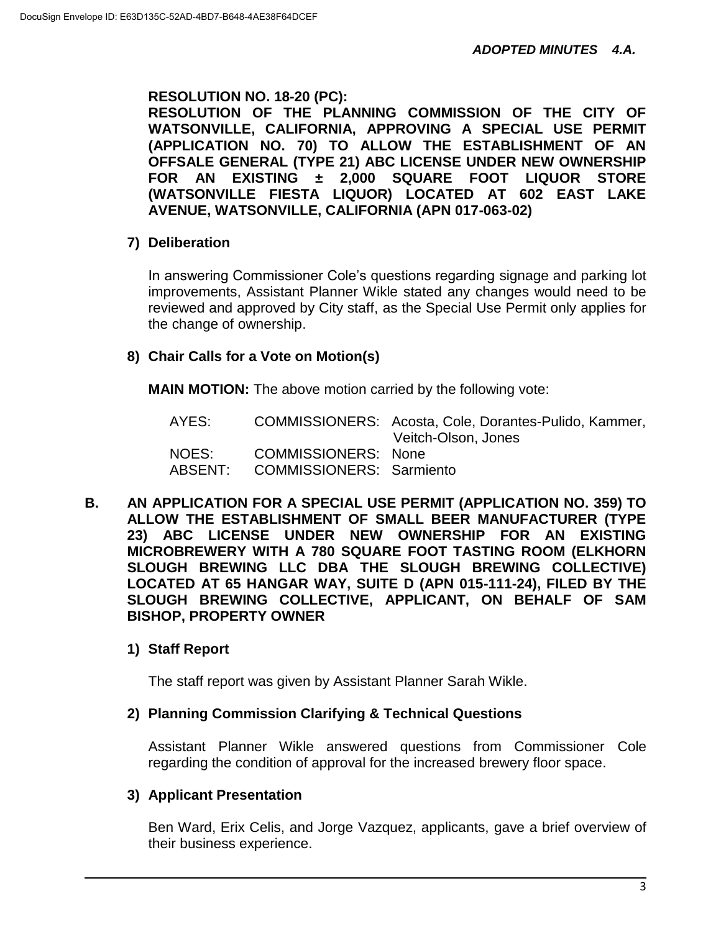## **RESOLUTION NO. 18-20 (PC):**

**RESOLUTION OF THE PLANNING COMMISSION OF THE CITY OF WATSONVILLE, CALIFORNIA, APPROVING A SPECIAL USE PERMIT (APPLICATION NO. 70) TO ALLOW THE ESTABLISHMENT OF AN OFFSALE GENERAL (TYPE 21) ABC LICENSE UNDER NEW OWNERSHIP FOR AN EXISTING ± 2,000 SQUARE FOOT LIQUOR STORE (WATSONVILLE FIESTA LIQUOR) LOCATED AT 602 EAST LAKE AVENUE, WATSONVILLE, CALIFORNIA (APN 017-063-02)**

## **7) Deliberation**

In answering Commissioner Cole's questions regarding signage and parking lot improvements, Assistant Planner Wikle stated any changes would need to be reviewed and approved by City staff, as the Special Use Permit only applies for the change of ownership.

#### **8) Chair Calls for a Vote on Motion(s)**

**MAIN MOTION:** The above motion carried by the following vote:

| AYES:   |                                 | COMMISSIONERS: Acosta, Cole, Dorantes-Pulido, Kammer,<br>Veitch-Olson, Jones |
|---------|---------------------------------|------------------------------------------------------------------------------|
| NOES:   | <b>COMMISSIONERS: None</b>      |                                                                              |
| ABSENT: | <b>COMMISSIONERS: Sarmiento</b> |                                                                              |

**B. AN APPLICATION FOR A SPECIAL USE PERMIT (APPLICATION NO. 359) TO ALLOW THE ESTABLISHMENT OF SMALL BEER MANUFACTURER (TYPE 23) ABC LICENSE UNDER NEW OWNERSHIP FOR AN EXISTING MICROBREWERY WITH A 780 SQUARE FOOT TASTING ROOM (ELKHORN SLOUGH BREWING LLC DBA THE SLOUGH BREWING COLLECTIVE) LOCATED AT 65 HANGAR WAY, SUITE D (APN 015-111-24), FILED BY THE SLOUGH BREWING COLLECTIVE, APPLICANT, ON BEHALF OF SAM BISHOP, PROPERTY OWNER**

## **1) Staff Report**

The staff report was given by Assistant Planner Sarah Wikle.

#### **2) Planning Commission Clarifying & Technical Questions**

Assistant Planner Wikle answered questions from Commissioner Cole regarding the condition of approval for the increased brewery floor space.

#### **3) Applicant Presentation**

Ben Ward, Erix Celis, and Jorge Vazquez, applicants, gave a brief overview of their business experience.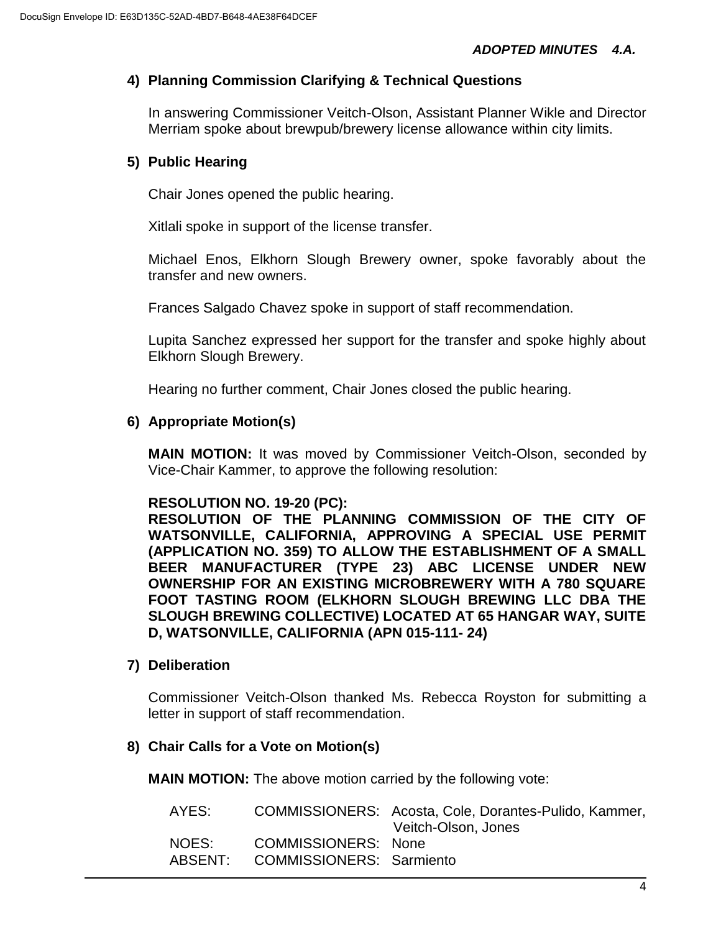## **4) Planning Commission Clarifying & Technical Questions**

In answering Commissioner Veitch-Olson, Assistant Planner Wikle and Director Merriam spoke about brewpub/brewery license allowance within city limits.

## **5) Public Hearing**

Chair Jones opened the public hearing.

Xitlali spoke in support of the license transfer.

Michael Enos, Elkhorn Slough Brewery owner, spoke favorably about the transfer and new owners.

Frances Salgado Chavez spoke in support of staff recommendation.

Lupita Sanchez expressed her support for the transfer and spoke highly about Elkhorn Slough Brewery.

Hearing no further comment, Chair Jones closed the public hearing.

#### **6) Appropriate Motion(s)**

**MAIN MOTION:** It was moved by Commissioner Veitch-Olson, seconded by Vice-Chair Kammer, to approve the following resolution:

#### **RESOLUTION NO. 19-20 (PC):**

**RESOLUTION OF THE PLANNING COMMISSION OF THE CITY OF WATSONVILLE, CALIFORNIA, APPROVING A SPECIAL USE PERMIT (APPLICATION NO. 359) TO ALLOW THE ESTABLISHMENT OF A SMALL BEER MANUFACTURER (TYPE 23) ABC LICENSE UNDER NEW OWNERSHIP FOR AN EXISTING MICROBREWERY WITH A 780 SQUARE FOOT TASTING ROOM (ELKHORN SLOUGH BREWING LLC DBA THE SLOUGH BREWING COLLECTIVE) LOCATED AT 65 HANGAR WAY, SUITE D, WATSONVILLE, CALIFORNIA (APN 015-111- 24)**

#### **7) Deliberation**

Commissioner Veitch-Olson thanked Ms. Rebecca Royston for submitting a letter in support of staff recommendation.

#### **8) Chair Calls for a Vote on Motion(s)**

**MAIN MOTION:** The above motion carried by the following vote:

| AYES:            |                                                               | COMMISSIONERS: Acosta, Cole, Dorantes-Pulido, Kammer,<br>Veitch-Olson, Jones |
|------------------|---------------------------------------------------------------|------------------------------------------------------------------------------|
| NOES:<br>ABSENT: | <b>COMMISSIONERS: None</b><br><b>COMMISSIONERS: Sarmiento</b> |                                                                              |
|                  |                                                               |                                                                              |